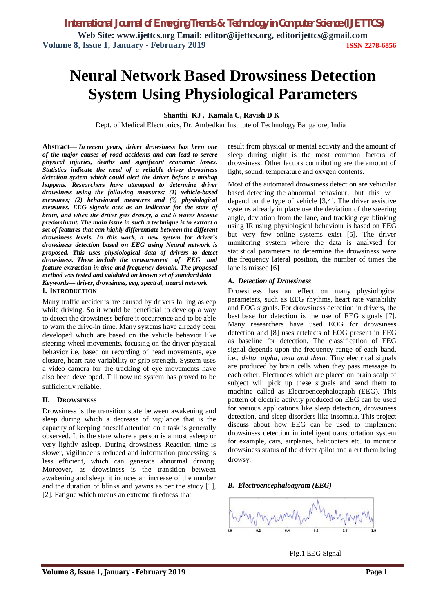# **Neural Network Based Drowsiness Detection System Using Physiological Parameters**

**Shanthi KJ , Kamala C, Ravish D K**

Dept. of Medical Electronics, Dr. Ambedkar Institute of Technology Bangalore, India

**Abstract—** *In recent years, driver drowsiness has been one of the major causes of road accidents and can lead to severe physical injuries, deaths and significant economic losses. Statistics indicate the need of a reliable driver drowsiness detection system which could alert the driver before a mishap happens. Researchers have attempted to determine driver drowsiness using the following measures: (1) vehicle-based measures; (2) behavioural measures and (3) physiological measures. EEG signals acts as an indicator for the state of brain, and when the driver gets drowsy, α and θ waves become predominant. The main issue in such a technique is to extract a set of features that can highly differentiate between the different drowsiness levels. In this work, a new system for driver's drowsiness detection based on EEG using Neural network is proposed. This uses physiological data of drivers to detect drowsiness. These include the measurement of EEG and feature extraction in time and frequency domain. The proposed method was tested and validated on known set of standard data. Keywords— driver, drowsiness, eeg, spectral, neural network* **I. INTRODUCTION**

Many traffic accidents are caused by drivers falling asleep while driving. So it would be beneficial to develop a way to detect the drowsiness before it occurrence and to be able to warn the drive-in time. Many systems have already been developed which are based on the vehicle behavior like steering wheel movements, focusing on the driver physical behavior i.e. based on recording of head movements, eye closure, heart rate variability or grip strength. System uses a video camera for the tracking of eye movements have also been developed. Till now no system has proved to be sufficiently reliable.

#### **II. DROWSINESS**

Drowsiness is the transition state between awakening and sleep during which a decrease of vigilance that is the capacity of keeping oneself attention on a task is generally observed. It is the state where a person is almost asleep or very lightly asleep. During drowsiness Reaction time is slower, vigilance is reduced and information processing is less efficient, which can generate abnormal driving. Moreover, as drowsiness is the transition between awakening and sleep, it induces an increase of the number and the duration of blinks and yawns as per the study [1], [2]. Fatigue which means an extreme tiredness that

result from physical or mental activity and the amount of sleep during night is the most common factors of drowsiness. Other factors contributing are the amount of light, sound, temperature and oxygen contents.

Most of the automated drowsiness detection are vehicular based detecting the abnormal behaviour, but this will depend on the type of vehicle [3,4]. The driver assistive systems already in place use the deviation of the steering angle, deviation from the lane, and tracking eye blinking using IR using physiological behaviour is based on EEG but very few online systems exist [5]. The driver monitoring system where the data is analysed for statistical parameters to determine the drowsiness were the frequency lateral position, the number of times the lane is missed [6]

#### *A. Detection of Drowsiness*

Drowsiness has an effect on many physiological parameters, such as EEG rhythms, heart rate variability and EOG signals. For drowsiness detection in drivers, the best base for detection is the use of EEG signals [7]. Many researchers have used EOG for drowsiness detection and [8] uses artefacts of EOG present in EEG as baseline for detection. The classification of EEG signal depends upon the frequency range of each band. i.e., *delta, alpha, beta and theta.* Tiny electrical signals are produced by brain cells when they pass message to each other. Electrodes which are placed on brain scalp of subject will pick up these signals and send them to machine called as Electroencephalograph (EEG). This pattern of electric activity produced on EEG can be used for various applications like sleep detection, drowsiness detection, and sleep disorders like insomnia. This project discuss about how EEG can be used to implement drowsiness detection in intelligent transportation system for example, cars, airplanes, helicopters etc. to monitor drowsiness status of the driver /pilot and alert them being drowsy.

#### *B. Electroencephaloagram (EEG)*



Fig.1 EEG Signal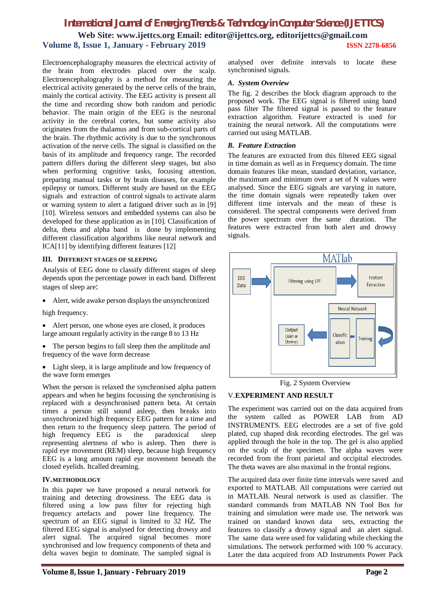### *International Journal of Emerging Trends & Technology in Computer Science (IJETTCS)* **Web Site: www.ijettcs.org Email: editor@ijettcs.org, editorijettcs@gmail.com Volume 8, Issue 1, January - February 2019 ISSN 2278-6856**

Electroencephalography measures the electrical activity of the brain from electrodes placed over the scalp. Electroencephalography is a method for measuring the electrical activity generated by the nerve cells of the brain, mainly the cortical activity. The EEG activity is present all the time and recording show both random and periodic behavior. The main origin of the EEG is the neuronal activity in the cerebral cortex, but some activity also originates from the thalamus and from sub-cortical parts of the brain. The rhythmic activity is due to the synchronous activation of the nerve cells. The signal is classified on the basis of its amplitude and frequency range. The recorded pattern differs during the different sleep stages, but also when performing cognitive tasks, focusing attention, preparing manual tasks or by brain diseases, for example epilepsy or tumors. Different study are based on the EEG signals and extraction of control signals to activate alarm or warning system to alert a fatigued driver such as in [9] [10]. Wireless sensors and embedded systems can also be developed for these application as in [10]. Classification of delta, theta and alpha band is done by implementing different classification algorithms like neural network and ICA[11] by identifying different features [12]

#### **III. DIFFERENT STAGES OF SLEEPING**

Analysis of EEG done to classify different stages of sleep depends upon the percentage power in each band. Different stages of sleep are:

Alert, wide awake person displays the unsynchronized

high frequency.

- Alert person, one whose eyes are closed, it produces large amount regularly activity in the range 8 to 13 Hz
- The person begins to fall sleep then the amplitude and frequency of the wave form decrease
- Light sleep, it is large amplitude and low frequency of the wave form emerges

When the person is relaxed the synchronised alpha pattern appears and when he begins focussing the synchronising is replaced with a desynchronised pattern beta. At certain times a person still sound asleep, then breaks into unsynchronized high frequency EEG pattern for a time and then return to the frequency sleep pattern. The period of high frequency EEG is the paradoxical sleep high frequency EEG is the paradoxical sleep representing alertness of who is asleep. Then there is rapid eye movement (REM) sleep, because high frequency EEG is a long amount rapid eye movement beneath the closed eyelids. Itcalled dreaming.

#### **IV.METHODOLOGY**

In this paper we have proposed a neural network for training and detecting drowsiness. The EEG data is filtered using a low pass filter for rejecting high frequency artefacts and power line frequency. The spectrum of an EEG signal is limited to 32 HZ. The filtered EEG signal is analysed for detecting drowsy and alert signal. The acquired signal becomes more synchronised and low frequency components of theta and delta waves begin to dominate. The sampled signal is

analysed over definite intervals to locate these synchronised signals.

#### *A. System Overview*

The fig. 2 describes the block diagram approach to the proposed work. The EEG signal is filtered using band pass filter The filtered signal is passed to the feature extraction algorithm. Feature extracted is used for training the neural network. All the computations were carried out using MATLAB.

#### *B. Feature Extraction*

The features are extracted from this filtered EEG signal in time domain as well as in Frequency domain. The time domain features like mean, standard deviation, variance, the maximum and minimum over a set of N values were analysed. Since the EEG signals are varying in nature, the time domain signals were repeatedly taken over different time intervals and the mean of these is considered. The spectral components were derived from the power spectrum over the same duration. The features were extracted from both alert and drowsy signals.



Fig. 2 System Overview

#### V.**EXPERIMENT AND RESULT**

The experiment was carried out on the data acquired from the system called as POWER LAB from AD INSTRUMENTS. EEG electrodes are a set of five gold plated, cup shaped disk recording electrodes. The gel was applied through the hole in the top. The gel is also applied on the scalp of the specimen. The alpha waves were recorded from the front parietal and occipital electrodes. The theta waves are also maximal in the frontal regions.

The acquired data over finite time intervals were saved and exported to MATLAB. All computations were carried out in MATLAB. Neural network is used as classifier. The standard commands from MATLAB NN Tool Box for training and simulation were made use. The network was trained on standard known data sets, extracting the features to classify a drowsy signal and an alert signal. The same data were used for validating while checking the simulations. The network performed with 100 % accuracy. Later the data acquired from AD Instruments Power Pack